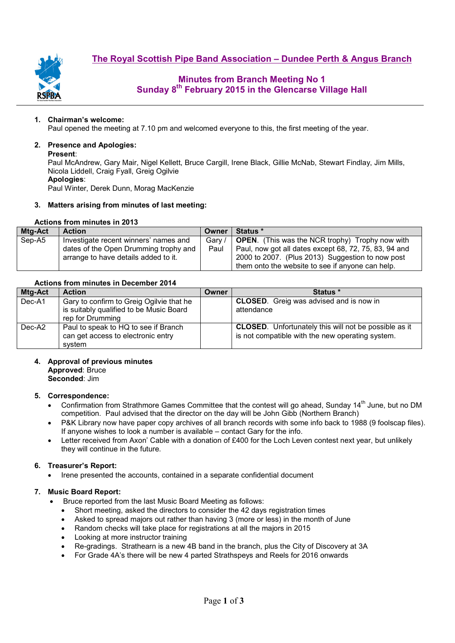**The Royal Scottish Pipe Band Association – Dundee Perth & Angus Branch**



# **Minutes from Branch Meeting No 1 Sunday 8th February 2015 in the Glencarse Village Hall**

### **1. Chairman's welcome:**

Paul opened the meeting at 7.10 pm and welcomed everyone to this, the first meeting of the year.

### **2. Presence and Apologies:**

#### **Present**:

Paul McAndrew, Gary Mair, Nigel Kellett, Bruce Cargill, Irene Black, Gillie McNab, Stewart Findlay, Jim Mills, Nicola Liddell, Craig Fyall, Greig Ogilvie **Apologies**:

Paul Winter, Derek Dunn, Morag MacKenzie

#### **3. Matters arising from minutes of last meeting:**

#### **Actions from minutes in 2013**

| Mtg-Act | <b>Action</b>                         | Owner  | <b>Status</b> *                                        |
|---------|---------------------------------------|--------|--------------------------------------------------------|
| Sep-A5  | Investigate recent winners' names and | Gary / | <b>OPEN.</b> (This was the NCR trophy) Trophy now with |
|         | dates of the Open Drumming trophy and | Paul   | Paul, now got all dates except 68, 72, 75, 83, 94 and  |
|         | arrange to have details added to it.  |        | 2000 to 2007. (Plus 2013) Suggestion to now post       |
|         |                                       |        | them onto the website to see if anyone can help.       |

## **Actions from minutes in December 2014**

| Mtg-Act | <b>Action</b>                            | Owner | Status *                                                     |
|---------|------------------------------------------|-------|--------------------------------------------------------------|
| Dec-A1  | Gary to confirm to Greig Ogilvie that he |       | <b>CLOSED.</b> Greig was advised and is now in               |
|         | is suitably qualified to be Music Board  |       | attendance                                                   |
|         | rep for Drumming                         |       |                                                              |
| Dec-A2  | Paul to speak to HQ to see if Branch     |       | <b>CLOSED.</b> Unfortunately this will not be possible as it |
|         | can get access to electronic entry       |       | is not compatible with the new operating system.             |
|         | svstem                                   |       |                                                              |

## **4. Approval of previous minutes**

**Approved**: Bruce

**Seconded**: Jim

### **5. Correspondence:**

- Confirmation from Strathmore Games Committee that the contest will go ahead, Sunday 14<sup>th</sup> June, but no DM competition. Paul advised that the director on the day will be John Gibb (Northern Branch)
- P&K Library now have paper copy archives of all branch records with some info back to 1988 (9 foolscap files). If anyone wishes to look a number is available – contact Gary for the info.
- Letter received from Axon' Cable with a donation of £400 for the Loch Leven contest next year, but unlikely they will continue in the future.

### **6. Treasurer's Report:**

• Irene presented the accounts, contained in a separate confidential document

### **7. Music Board Report:**

- Bruce reported from the last Music Board Meeting as follows:
	- Short meeting, asked the directors to consider the 42 days registration times
	- Asked to spread majors out rather than having 3 (more or less) in the month of June
	- Random checks will take place for registrations at all the majors in 2015
	- Looking at more instructor training
	- Re-gradings. Strathearn is a new 4B band in the branch, plus the City of Discovery at 3A
	- For Grade 4A's there will be new 4 parted Strathspeys and Reels for 2016 onwards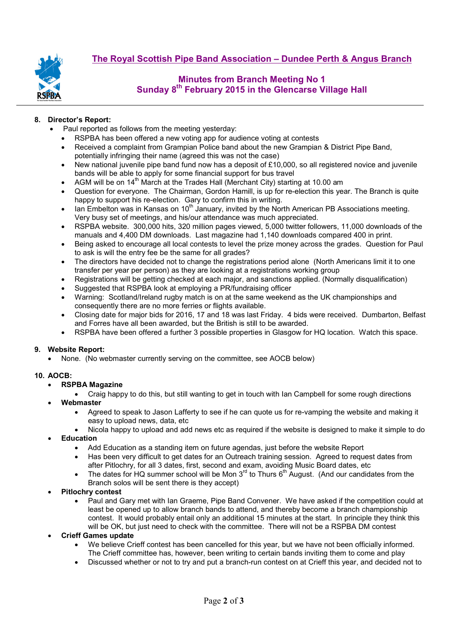

# **Minutes from Branch Meeting No 1 Sunday 8th February 2015 in the Glencarse Village Hall**

## **8. Director's Report:**

- Paul reported as follows from the meeting yesterday:
- RSPBA has been offered a new voting app for audience voting at contests
- Received a complaint from Grampian Police band about the new Grampian & District Pipe Band,
- potentially infringing their name (agreed this was not the case)
- New national juvenile pipe band fund now has a deposit of £10,000, so all registered novice and juvenile bands will be able to apply for some financial support for bus travel
- AGM will be on 14<sup>th</sup> March at the Trades Hall (Merchant City) starting at 10.00 am
- Question for everyone. The Chairman, Gordon Hamill, is up for re-election this year. The Branch is quite happy to support his re-election. Gary to confirm this in writing.
- lan Embelton was in Kansas on 10<sup>th</sup> January, invited by the North American PB Associations meeting. Very busy set of meetings, and his/our attendance was much appreciated.
- RSPBA website. 300,000 hits, 320 million pages viewed, 5,000 twitter followers, 11,000 downloads of the manuals and 4,400 DM downloads. Last magazine had 1,140 downloads compared 400 in print.
- Being asked to encourage all local contests to level the prize money across the grades. Question for Paul to ask is will the entry fee be the same for all grades?
- The directors have decided not to change the registrations period alone (North Americans limit it to one transfer per year per person) as they are looking at a registrations working group
- Registrations will be getting checked at each major, and sanctions applied. (Normally disqualification)
- Suggested that RSPBA look at employing a PR/fundraising officer
- Warning: Scotland/Ireland rugby match is on at the same weekend as the UK championships and consequently there are no more ferries or flights available.
- Closing date for major bids for 2016, 17 and 18 was last Friday. 4 bids were received. Dumbarton, Belfast and Forres have all been awarded, but the British is still to be awarded.
- RSPBA have been offered a further 3 possible properties in Glasgow for HQ location. Watch this space.

### **9. Website Report:**

• None. (No webmaster currently serving on the committee, see AOCB below)

## **10. AOCB:**

- **RSPBA Magazine** 
	- Craig happy to do this, but still wanting to get in touch with Ian Campbell for some rough directions
- **Webmaster** 
	- Agreed to speak to Jason Lafferty to see if he can quote us for re-vamping the website and making it easy to upload news, data, etc
	- Nicola happy to upload and add news etc as required if the website is designed to make it simple to do • **Education**
		- Add Education as a standing item on future agendas, just before the website Report
		- Has been very difficult to get dates for an Outreach training session. Agreed to request dates from after Pitlochry, for all 3 dates, first, second and exam, avoiding Music Board dates, etc
		- The dates for HQ summer school will be Mon  $3<sup>rd</sup>$  to Thurs 6<sup>th</sup> August. (And our candidates from the Branch solos will be sent there is they accept)
- **Pitlochry contest** 
	- Paul and Gary met with Ian Graeme, Pipe Band Convener. We have asked if the competition could at least be opened up to allow branch bands to attend, and thereby become a branch championship contest. It would probably entail only an additional 15 minutes at the start. In principle they think this will be OK, but just need to check with the committee. There will not be a RSPBA DM contest
- **Crieff Games update** 
	- We believe Crieff contest has been cancelled for this year, but we have not been officially informed. The Crieff committee has, however, been writing to certain bands inviting them to come and play
	- Discussed whether or not to try and put a branch-run contest on at Crieff this year, and decided not to